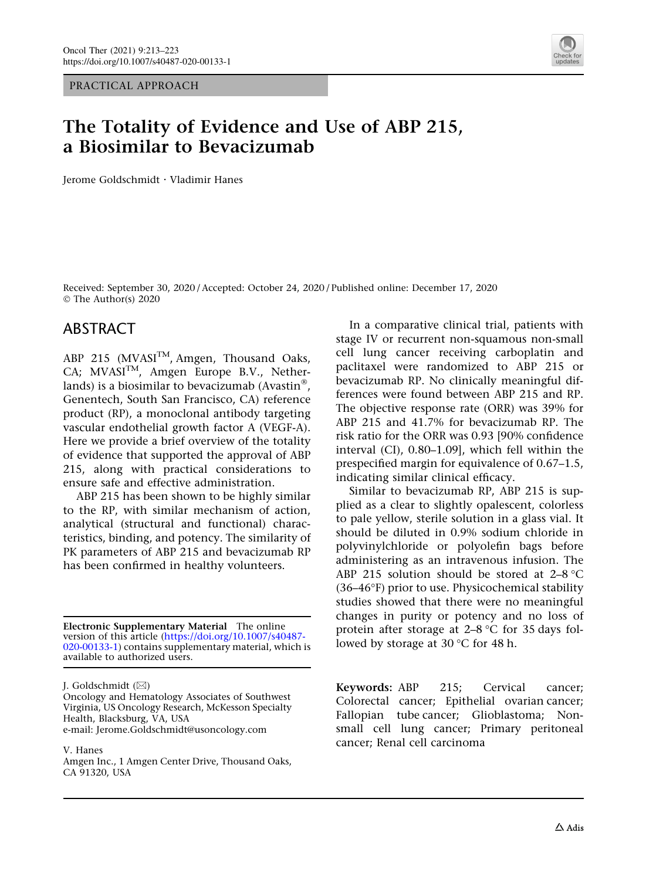PRACTICAL APPROACH



# The Totality of Evidence and Use of ABP 215, a Biosimilar to Bevacizumab

Jerome Goldschmidt . Vladimir Hanes

Received: September 30, 2020 / Accepted: October 24, 2020 / Published online: December 17, 2020 © The Author(s) 2020

### ABSTRACT

ABP 215 (MVASI<sup>TM</sup>, Amgen, Thousand Oaks, CA;  $MVASI^{TM}$ , Amgen Europe B.V., Netherlands) is a biosimilar to bevacizumab (Avastin $^{\circledR}$ , Genentech, South San Francisco, CA) reference product (RP), a monoclonal antibody targeting vascular endothelial growth factor A (VEGF-A). Here we provide a brief overview of the totality of evidence that supported the approval of ABP 215, along with practical considerations to ensure safe and effective administration.

ABP 215 has been shown to be highly similar to the RP, with similar mechanism of action, analytical (structural and functional) characteristics, binding, and potency. The similarity of PK parameters of ABP 215 and bevacizumab RP has been confirmed in healthy volunteers.

Electronic Supplementary Material The online version of this article ([https://doi.org/10.1007/s40487-](https://doi.org/10.1007/s40487-020-00133-1) [020-00133-1](https://doi.org/10.1007/s40487-020-00133-1)) contains supplementary material, which is available to authorized users.

J. Goldschmidt (&)

Oncology and Hematology Associates of Southwest Virginia, US Oncology Research, McKesson Specialty Health, Blacksburg, VA, USA e-mail: Jerome.Goldschmidt@usoncology.com

V. Hanes

Amgen Inc., 1 Amgen Center Drive, Thousand Oaks, CA 91320, USA

In a comparative clinical trial, patients with stage IV or recurrent non-squamous non-small cell lung cancer receiving carboplatin and paclitaxel were randomized to ABP 215 or bevacizumab RP. No clinically meaningful differences were found between ABP 215 and RP. The objective response rate (ORR) was 39% for ABP 215 and 41.7% for bevacizumab RP. The risk ratio for the ORR was 0.93 [90% confidence interval (CI), 0.80–1.09], which fell within the prespecified margin for equivalence of 0.67–1.5, indicating similar clinical efficacy.

Similar to bevacizumab RP, ABP 215 is supplied as a clear to slightly opalescent, colorless to pale yellow, sterile solution in a glass vial. It should be diluted in 0.9% sodium chloride in polyvinylchloride or polyolefin bags before administering as an intravenous infusion. The ABP 215 solution should be stored at  $2-8$  °C (36-46°F) prior to use. Physicochemical stability studies showed that there were no meaningful changes in purity or potency and no loss of protein after storage at  $2-8$  °C for 35 days followed by storage at  $30^{\circ}$ C for 48 h.

Keywords: ABP 215; Cervical cancer; Colorectal cancer; Epithelial ovarian cancer; Fallopian tube cancer; Glioblastoma; Nonsmall cell lung cancer; Primary peritoneal cancer; Renal cell carcinoma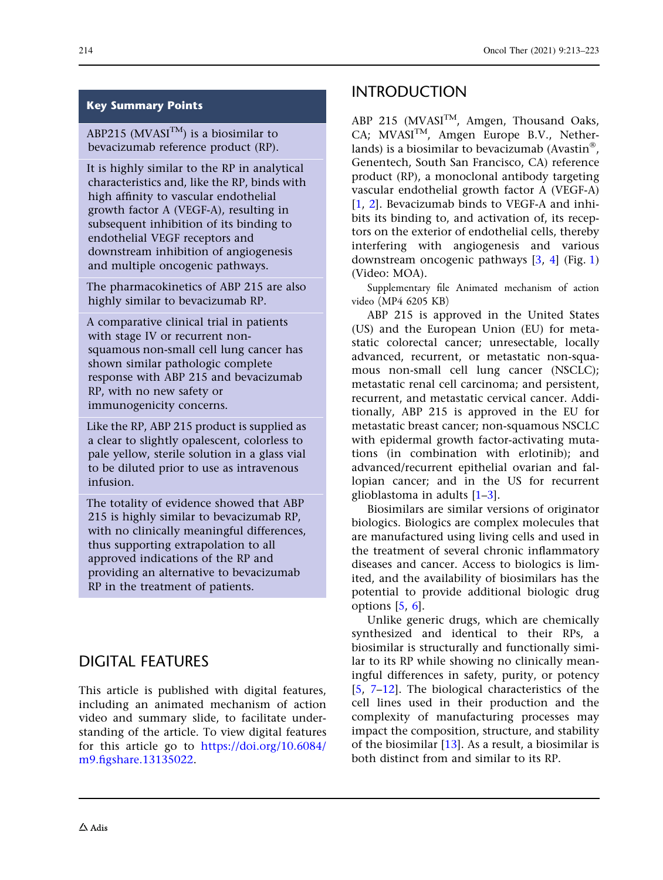### Key Summary Points

ABP215 (MVASI<sup>TM</sup>) is a biosimilar to bevacizumab reference product (RP).

It is highly similar to the RP in analytical characteristics and, like the RP, binds with high affinity to vascular endothelial growth factor A (VEGF-A), resulting in subsequent inhibition of its binding to endothelial VEGF receptors and downstream inhibition of angiogenesis and multiple oncogenic pathways.

The pharmacokinetics of ABP 215 are also highly similar to bevacizumab RP.

A comparative clinical trial in patients with stage IV or recurrent nonsquamous non-small cell lung cancer has shown similar pathologic complete response with ABP 215 and bevacizumab RP, with no new safety or immunogenicity concerns.

Like the RP, ABP 215 product is supplied as a clear to slightly opalescent, colorless to pale yellow, sterile solution in a glass vial to be diluted prior to use as intravenous infusion.

The totality of evidence showed that ABP 215 is highly similar to bevacizumab RP, with no clinically meaningful differences, thus supporting extrapolation to all approved indications of the RP and providing an alternative to bevacizumab RP in the treatment of patients.

## DIGITAL FEATURES

This article is published with digital features, including an animated mechanism of action video and summary slide, to facilitate understanding of the article. To view digital features for this article go to [https://doi.org/10.6084/](https://doi.org/10.6084/m9.figshare.13135022) [m9.figshare.13135022.](https://doi.org/10.6084/m9.figshare.13135022)

## INTRODUCTION

ABP 215 (MVASI<sup>TM</sup>, Amgen, Thousand Oaks, CA; MVASI<sup>TM</sup>, Amgen Europe B.V., Netherlands) is a biosimilar to bevacizumab (Avastin $^{\circledR}$ , Genentech, South San Francisco, CA) reference product (RP), a monoclonal antibody targeting vascular endothelial growth factor A (VEGF-A) [\[1](#page-8-0), [2](#page-8-0)]. Bevacizumab binds to VEGF-A and inhibits its binding to, and activation of, its receptors on the exterior of endothelial cells, thereby interfering with angiogenesis and various downstream oncogenic pathways [\[3,](#page-8-0) [4](#page-8-0)] (Fig. [1](#page-2-0)) (Video: MOA).

Supplementary file Animated mechanism of action video (MP4 6205 KB)

ABP 215 is approved in the United States (US) and the European Union (EU) for metastatic colorectal cancer; unresectable, locally advanced, recurrent, or metastatic non-squamous non-small cell lung cancer (NSCLC); metastatic renal cell carcinoma; and persistent, recurrent, and metastatic cervical cancer. Additionally, ABP 215 is approved in the EU for metastatic breast cancer; non-squamous NSCLC with epidermal growth factor-activating mutations (in combination with erlotinib); and advanced/recurrent epithelial ovarian and fallopian cancer; and in the US for recurrent glioblastoma in adults [\[1–3\]](#page-8-0).

Biosimilars are similar versions of originator biologics. Biologics are complex molecules that are manufactured using living cells and used in the treatment of several chronic inflammatory diseases and cancer. Access to biologics is limited, and the availability of biosimilars has the potential to provide additional biologic drug options  $[5, 6]$  $[5, 6]$  $[5, 6]$ .

Unlike generic drugs, which are chemically synthesized and identical to their RPs, a biosimilar is structurally and functionally similar to its RP while showing no clinically meaningful differences in safety, purity, or potency [\[5](#page-8-0), [7](#page-8-0)[–12\]](#page-9-0). The biological characteristics of the cell lines used in their production and the complexity of manufacturing processes may impact the composition, structure, and stability of the biosimilar [[13\]](#page-9-0). As a result, a biosimilar is both distinct from and similar to its RP.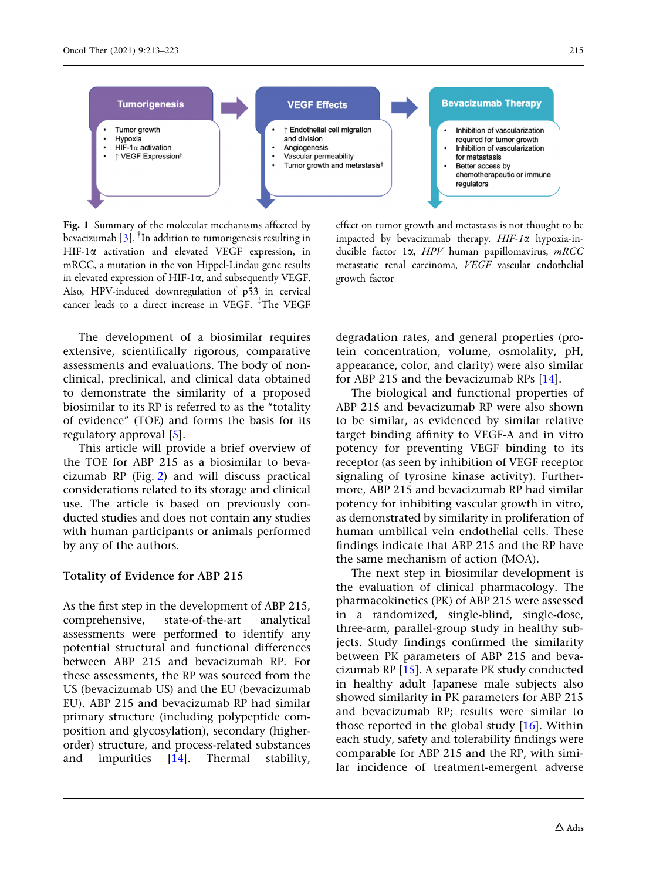<span id="page-2-0"></span>

Fig. 1 Summary of the molecular mechanisms affected by bevacizumab  $[3]$  $[3]$  $[3]$ . <sup>†</sup>In addition to tumorigenesis resulting in HIF-1a activation and elevated VEGF expression, in mRCC, a mutation in the von Hippel-Lindau gene results in elevated expression of HIF-1 $\alpha$ , and subsequently VEGF. Also, HPV-induced downregulation of p53 in cervical cancer leads to a direct increase in VEGF. The VEGF

The development of a biosimilar requires extensive, scientifically rigorous, comparative assessments and evaluations. The body of nonclinical, preclinical, and clinical data obtained to demonstrate the similarity of a proposed biosimilar to its RP is referred to as the ''totality of evidence'' (TOE) and forms the basis for its regulatory approval [[5\]](#page-8-0).

This article will provide a brief overview of the TOE for ABP 215 as a biosimilar to bevacizumab RP (Fig. [2](#page-3-0)) and will discuss practical considerations related to its storage and clinical use. The article is based on previously conducted studies and does not contain any studies with human participants or animals performed by any of the authors.

#### Totality of Evidence for ABP 215

As the first step in the development of ABP 215, comprehensive, state-of-the-art analytical assessments were performed to identify any potential structural and functional differences between ABP 215 and bevacizumab RP. For these assessments, the RP was sourced from the US (bevacizumab US) and the EU (bevacizumab EU). ABP 215 and bevacizumab RP had similar primary structure (including polypeptide composition and glycosylation), secondary (higherorder) structure, and process-related substances and impurities [[14](#page-9-0)]. Thermal stability,

effect on tumor growth and metastasis is not thought to be impacted by bevacizumab therapy.  $HIF-I\alpha$  hypoxia-inducible factor  $1\alpha$ ,  $HPV$  human papillomavirus,  $mRCC$ metastatic renal carcinoma, VEGF vascular endothelial growth factor

degradation rates, and general properties (protein concentration, volume, osmolality, pH, appearance, color, and clarity) were also similar for ABP 215 and the bevacizumab RPs [\[14\]](#page-9-0).

The biological and functional properties of ABP 215 and bevacizumab RP were also shown to be similar, as evidenced by similar relative target binding affinity to VEGF-A and in vitro potency for preventing VEGF binding to its receptor (as seen by inhibition of VEGF receptor signaling of tyrosine kinase activity). Furthermore, ABP 215 and bevacizumab RP had similar potency for inhibiting vascular growth in vitro, as demonstrated by similarity in proliferation of human umbilical vein endothelial cells. These findings indicate that ABP 215 and the RP have the same mechanism of action (MOA).

The next step in biosimilar development is the evaluation of clinical pharmacology. The pharmacokinetics (PK) of ABP 215 were assessed in a randomized, single-blind, single-dose, three-arm, parallel-group study in healthy subjects. Study findings confirmed the similarity between PK parameters of ABP 215 and bevacizumab RP [[15](#page-9-0)]. A separate PK study conducted in healthy adult Japanese male subjects also showed similarity in PK parameters for ABP 215 and bevacizumab RP; results were similar to those reported in the global study  $[16]$  $[16]$  $[16]$ . Within each study, safety and tolerability findings were comparable for ABP 215 and the RP, with similar incidence of treatment-emergent adverse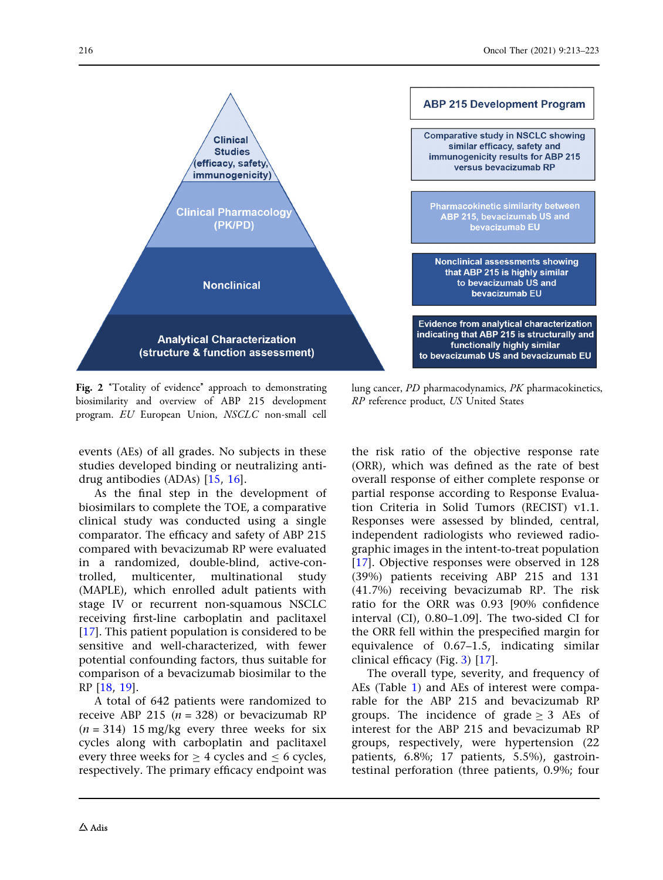<span id="page-3-0"></span>

Fig. 2 "Totality of evidence" approach to demonstrating biosimilarity and overview of ABP 215 development program. EU European Union, NSCLC non-small cell

events (AEs) of all grades. No subjects in these studies developed binding or neutralizing antidrug antibodies (ADAs) [[15](#page-9-0), [16\]](#page-9-0).

As the final step in the development of biosimilars to complete the TOE, a comparative clinical study was conducted using a single comparator. The efficacy and safety of ABP 215 compared with bevacizumab RP were evaluated in a randomized, double-blind, active-controlled, multicenter, multinational study (MAPLE), which enrolled adult patients with stage IV or recurrent non-squamous NSCLC receiving first-line carboplatin and paclitaxel [\[17\]](#page-9-0). This patient population is considered to be sensitive and well-characterized, with fewer potential confounding factors, thus suitable for comparison of a bevacizumab biosimilar to the RP [[18](#page-9-0), [19\]](#page-9-0).

A total of 642 patients were randomized to receive ABP 215 ( $n = 328$ ) or bevacizumab RP  $(n = 314)$  15 mg/kg every three weeks for six cycles along with carboplatin and paclitaxel every three weeks for  $\geq 4$  cycles and  $\leq 6$  cycles, respectively. The primary efficacy endpoint was

lung cancer, PD pharmacodynamics, PK pharmacokinetics, RP reference product, US United States

the risk ratio of the objective response rate (ORR), which was defined as the rate of best overall response of either complete response or partial response according to Response Evaluation Criteria in Solid Tumors (RECIST) v1.1. Responses were assessed by blinded, central, independent radiologists who reviewed radiographic images in the intent-to-treat population [\[17\]](#page-9-0). Objective responses were observed in 128 (39%) patients receiving ABP 215 and 131 (41.7%) receiving bevacizumab RP. The risk ratio for the ORR was 0.93 [90% confidence interval (CI), 0.80–1.09]. The two-sided CI for the ORR fell within the prespecified margin for equivalence of 0.67–1.5, indicating similar clinical efficacy (Fig. [3\)](#page-4-0) [\[17\]](#page-9-0).

The overall type, severity, and frequency of AEs (Table [1](#page-4-0)) and AEs of interest were comparable for the ABP 215 and bevacizumab RP groups. The incidence of grade  $> 3$  AEs of interest for the ABP 215 and bevacizumab RP groups, respectively, were hypertension (22 patients, 6.8%; 17 patients, 5.5%), gastrointestinal perforation (three patients, 0.9%; four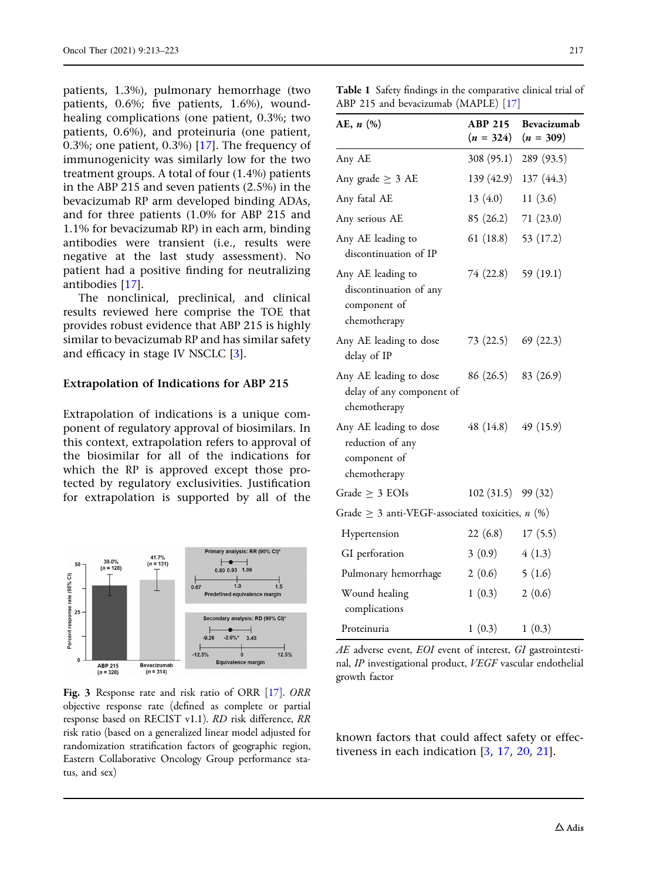<span id="page-4-0"></span>patients, 1.3%), pulmonary hemorrhage (two patients, 0.6%; five patients, 1.6%), woundhealing complications (one patient, 0.3%; two patients, 0.6%), and proteinuria (one patient, 0.3%; one patient, 0.3%) [\[17](#page-9-0)]. The frequency of immunogenicity was similarly low for the two treatment groups. A total of four (1.4%) patients in the ABP 215 and seven patients (2.5%) in the bevacizumab RP arm developed binding ADAs, and for three patients (1.0% for ABP 215 and 1.1% for bevacizumab RP) in each arm, binding antibodies were transient (i.e., results were negative at the last study assessment). No patient had a positive finding for neutralizing antibodies [[17](#page-9-0)].

The nonclinical, preclinical, and clinical results reviewed here comprise the TOE that provides robust evidence that ABP 215 is highly similar to bevacizumab RP and has similar safety and efficacy in stage IV NSCLC [[3](#page-8-0)].

#### Extrapolation of Indications for ABP 215

Extrapolation of indications is a unique component of regulatory approval of biosimilars. In this context, extrapolation refers to approval of the biosimilar for all of the indications for which the RP is approved except those protected by regulatory exclusivities. Justification for extrapolation is supported by all of the



Fig. 3 Response rate and risk ratio of ORR [\[17\]](#page-9-0). ORR objective response rate (defined as complete or partial response based on RECIST v1.1). RD risk difference, RR risk ratio (based on a generalized linear model adjusted for randomization stratification factors of geographic region, Eastern Collaborative Oncology Group performance status, and sex)

| AE, n (%)                                                                   | <b>ABP 215</b><br>$(n = 324)$ | Bevacizumab<br>$(n = 309)$ |
|-----------------------------------------------------------------------------|-------------------------------|----------------------------|
| Any AE                                                                      | 308(95.1)                     | 289 (93.5)                 |
| Any grade $\geq 3$ AE                                                       | 139 (42.9)                    | 137(44.3)                  |
| Any fatal AE                                                                | 13(4.0)                       | 11 $(3.6)$                 |
| Any serious AE                                                              | 85 (26.2)                     | 71(23.0)                   |
| Any AE leading to<br>discontinuation of IP                                  | 61 (18.8)                     | 53 (17.2)                  |
| Any AE leading to<br>discontinuation of any<br>component of<br>chemotherapy | 74 (22.8)                     | 59 (19.1)                  |
| Any AE leading to dose<br>delay of IP                                       | 73 (22.5)                     | 69(22.3)                   |
| Any AE leading to dose<br>delay of any component of<br>chemotherapy         | 86 (26.5) 83 (26.9)           |                            |
| Any AE leading to dose<br>reduction of any<br>component of<br>chemotherapy  | 48 (14.8)                     | 49(15.9)                   |
| Grade $\geq 3$ EOIs                                                         | 102 (31.5) 99 (32)            |                            |
| Grade $\geq$ 3 anti-VEGF-associated toxicities, <i>n</i> (%)                |                               |                            |
| Hypertension                                                                | 22(6.8)                       | 17(5.5)                    |
| GI perforation                                                              | 3(0.9)                        | 4(1.3)                     |
| Pulmonary hemorrhage                                                        | 2(0.6)                        | 5(1.6)                     |
| Wound healing<br>complications                                              | 1(0.3)                        | 2(0.6)                     |
| Proteinuria                                                                 | 1(0.3)                        | 1(0.3)                     |

 $AE$  adverse event,  $EOI$  event of interest,  $GI$  gastrointestinal, IP investigational product, VEGF vascular endothelial growth factor

known factors that could affect safety or effectiveness in each indication [[3,](#page-8-0) [17](#page-9-0), [20,](#page-9-0) [21\]](#page-9-0).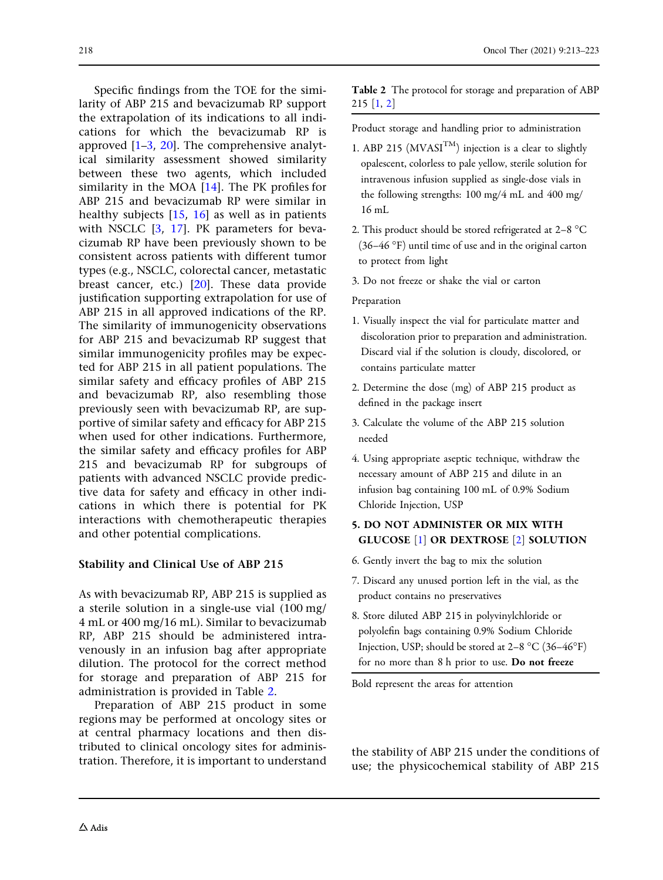Specific findings from the TOE for the similarity of ABP 215 and bevacizumab RP support the extrapolation of its indications to all indications for which the bevacizumab RP is approved [\[1–3,](#page-8-0) [20\]](#page-9-0). The comprehensive analytical similarity assessment showed similarity between these two agents, which included similarity in the MOA [[14](#page-9-0)]. The PK profiles for ABP 215 and bevacizumab RP were similar in healthy subjects [[15](#page-9-0), [16\]](#page-9-0) as well as in patients with NSCLC [\[3](#page-8-0), [17\]](#page-9-0). PK parameters for bevacizumab RP have been previously shown to be consistent across patients with different tumor types (e.g., NSCLC, colorectal cancer, metastatic breast cancer, etc.) [\[20\]](#page-9-0). These data provide justification supporting extrapolation for use of ABP 215 in all approved indications of the RP. The similarity of immunogenicity observations for ABP 215 and bevacizumab RP suggest that similar immunogenicity profiles may be expected for ABP 215 in all patient populations. The similar safety and efficacy profiles of ABP 215 and bevacizumab RP, also resembling those previously seen with bevacizumab RP, are supportive of similar safety and efficacy for ABP 215 when used for other indications. Furthermore, the similar safety and efficacy profiles for ABP 215 and bevacizumab RP for subgroups of patients with advanced NSCLC provide predictive data for safety and efficacy in other indications in which there is potential for PK interactions with chemotherapeutic therapies and other potential complications.

### Stability and Clinical Use of ABP 215

As with bevacizumab RP, ABP 215 is supplied as a sterile solution in a single-use vial (100 mg/ 4 mL or 400 mg/16 mL). Similar to bevacizumab RP, ABP 215 should be administered intravenously in an infusion bag after appropriate dilution. The protocol for the correct method for storage and preparation of ABP 215 for administration is provided in Table 2.

Preparation of ABP 215 product in some regions may be performed at oncology sites or at central pharmacy locations and then distributed to clinical oncology sites for administributed to clinical oncology sites for adminis-<br>the stability of ABP 215 under the conditions of<br>tration. Therefore, it is important to understand<br>use: the physicochemical stability of ABP 215

Table 2 The protocol for storage and preparation of ABP 215 [\[1,](#page-8-0) [2\]](#page-8-0)

Product storage and handling prior to administration

- 1. ABP 215 ( $MVASI^{TM}$ ) injection is a clear to slightly opalescent, colorless to pale yellow, sterile solution for intravenous infusion supplied as single-dose vials in the following strengths: 100 mg/4 mL and 400 mg/ 16 mL
- 2. This product should be stored refrigerated at  $2-8$  °C  $(36-46)$ °F) until time of use and in the original carton to protect from light
- 3. Do not freeze or shake the vial or carton

#### Preparation

- 1. Visually inspect the vial for particulate matter and discoloration prior to preparation and administration. Discard vial if the solution is cloudy, discolored, or contains particulate matter
- 2. Determine the dose (mg) of ABP 215 product as defined in the package insert
- 3. Calculate the volume of the ABP 215 solution needed
- 4. Using appropriate aseptic technique, withdraw the necessary amount of ABP 215 and dilute in an infusion bag containing 100 mL of 0.9% Sodium Chloride Injection, USP

### 5. DO NOT ADMINISTER OR MIX WITH GLUCOSE [\[1](#page-8-0)] OR DEXTROSE [[2\]](#page-8-0) SOLUTION

- 6. Gently invert the bag to mix the solution
- 7. Discard any unused portion left in the vial, as the product contains no preservatives
- 8. Store diluted ABP 215 in polyvinylchloride or polyolefin bags containing 0.9% Sodium Chloride Injection, USP; should be stored at  $2-8$  °C (36–46°F) for no more than 8 h prior to use. Do not freeze

Bold represent the areas for attention

use; the physicochemical stability of ABP 215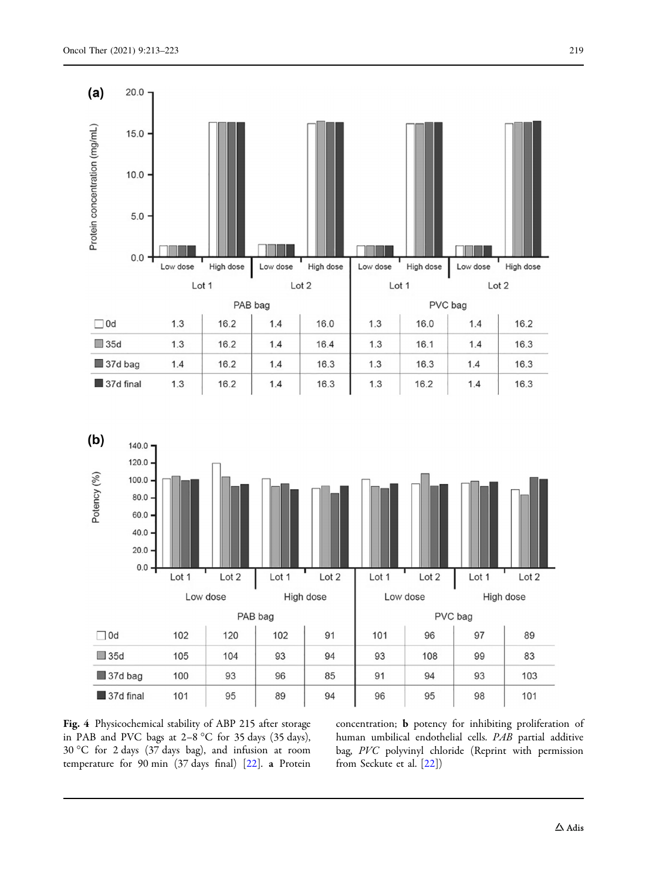<span id="page-6-0"></span>



Fig. 4 Physicochemical stability of ABP 215 after storage in PAB and PVC bags at  $2-8$  °C for 35 days (35 days), 30 C for 2 days (37 days bag), and infusion at room temperature for 90 min (37 days final) [\[22](#page-9-0)]. a Protein concentration; b potency for inhibiting proliferation of human umbilical endothelial cells. PAB partial additive bag, PVC polyvinyl chloride (Reprint with permission from Seckute et al. [\[22\]](#page-9-0))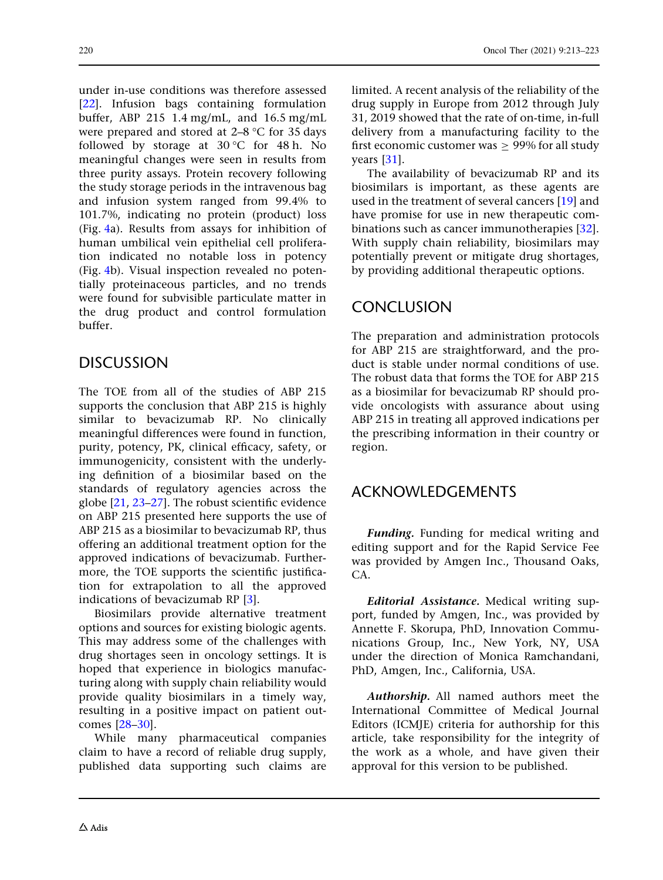under in-use conditions was therefore assessed [\[22\]](#page-9-0). Infusion bags containing formulation buffer, ABP 215 1.4 mg/mL, and 16.5 mg/mL were prepared and stored at  $2-8$  °C for 35 days followed by storage at  $30^{\circ}$ C for 48 h. No meaningful changes were seen in results from three purity assays. Protein recovery following the study storage periods in the intravenous bag and infusion system ranged from 99.4% to 101.7%, indicating no protein (product) loss (Fig. [4](#page-6-0)a). Results from assays for inhibition of human umbilical vein epithelial cell proliferation indicated no notable loss in potency (Fig. [4](#page-6-0)b). Visual inspection revealed no potentially proteinaceous particles, and no trends were found for subvisible particulate matter in the drug product and control formulation buffer.

# DISCUSSION

The TOE from all of the studies of ABP 215 supports the conclusion that ABP 215 is highly similar to bevacizumab RP. No clinically meaningful differences were found in function, purity, potency, PK, clinical efficacy, safety, or immunogenicity, consistent with the underlying definition of a biosimilar based on the standards of regulatory agencies across the globe [\[21](#page-9-0), [23–27\]](#page-9-0). The robust scientific evidence on ABP 215 presented here supports the use of ABP 215 as a biosimilar to bevacizumab RP, thus offering an additional treatment option for the approved indications of bevacizumab. Furthermore, the TOE supports the scientific justification for extrapolation to all the approved indications of bevacizumab RP [[3](#page-8-0)].

Biosimilars provide alternative treatment options and sources for existing biologic agents. This may address some of the challenges with drug shortages seen in oncology settings. It is hoped that experience in biologics manufacturing along with supply chain reliability would provide quality biosimilars in a timely way, resulting in a positive impact on patient outcomes [[28–30\]](#page-9-0).

While many pharmaceutical companies claim to have a record of reliable drug supply, published data supporting such claims are limited. A recent analysis of the reliability of the drug supply in Europe from 2012 through July 31, 2019 showed that the rate of on-time, in-full delivery from a manufacturing facility to the first economic customer was  $\geq$  99% for all study years [\[31\]](#page-9-0).

The availability of bevacizumab RP and its biosimilars is important, as these agents are used in the treatment of several cancers [[19](#page-9-0)] and have promise for use in new therapeutic combinations such as cancer immunotherapies [[32](#page-10-0)]. With supply chain reliability, biosimilars may potentially prevent or mitigate drug shortages, by providing additional therapeutic options.

# CONCLUSION

The preparation and administration protocols for ABP 215 are straightforward, and the product is stable under normal conditions of use. The robust data that forms the TOE for ABP 215 as a biosimilar for bevacizumab RP should provide oncologists with assurance about using ABP 215 in treating all approved indications per the prescribing information in their country or region.

## ACKNOWLEDGEMENTS

Funding. Funding for medical writing and editing support and for the Rapid Service Fee was provided by Amgen Inc., Thousand Oaks, CA.

Editorial Assistance. Medical writing support, funded by Amgen, Inc., was provided by Annette F. Skorupa, PhD, Innovation Communications Group, Inc., New York, NY, USA under the direction of Monica Ramchandani, PhD, Amgen, Inc., California, USA.

Authorship. All named authors meet the International Committee of Medical Journal Editors (ICMJE) criteria for authorship for this article, take responsibility for the integrity of the work as a whole, and have given their approval for this version to be published.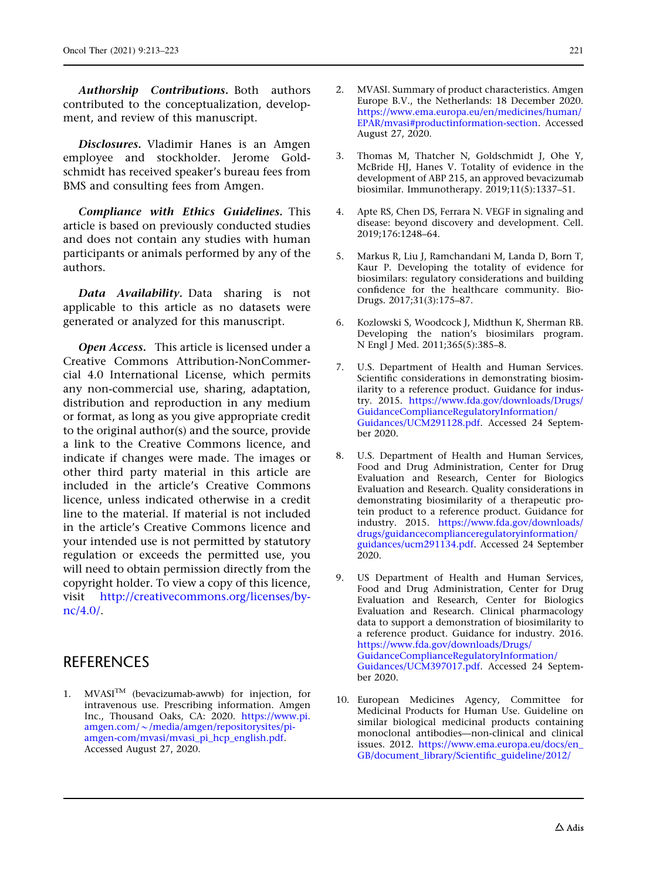<span id="page-8-0"></span>Authorship Contributions. Both authors contributed to the conceptualization, development, and review of this manuscript.

Disclosures. Vladimir Hanes is an Amgen employee and stockholder. Jerome Goldschmidt has received speaker's bureau fees from BMS and consulting fees from Amgen.

Compliance with Ethics Guidelines. This article is based on previously conducted studies and does not contain any studies with human participants or animals performed by any of the authors.

Data Availability. Data sharing is not applicable to this article as no datasets were generated or analyzed for this manuscript.

Open Access. This article is licensed under a Creative Commons Attribution-NonCommercial 4.0 International License, which permits any non-commercial use, sharing, adaptation, distribution and reproduction in any medium or format, as long as you give appropriate credit to the original author(s) and the source, provide a link to the Creative Commons licence, and indicate if changes were made. The images or other third party material in this article are included in the article's Creative Commons licence, unless indicated otherwise in a credit line to the material. If material is not included in the article's Creative Commons licence and your intended use is not permitted by statutory regulation or exceeds the permitted use, you will need to obtain permission directly from the copyright holder. To view a copy of this licence, visit [http://creativecommons.org/licenses/by](http://creativecommons.org/licenses/by-nc/4.0/)[nc/4.0/](http://creativecommons.org/licenses/by-nc/4.0/).

## **REFERENCES**

1. MVASI $^{TM}$  (bevacizumab-awwb) for injection, for intravenous use. Prescribing information. Amgen Inc., Thousand Oaks, CA: 2020. [https://www.pi.](https://www.pi.amgen.com/~/media/amgen/repositorysites/pi-amgen-com/mvasi/mvasi_pi_hcp_english.pdf)  $amgen.com/\sim/mediangen/repositorysites/pi$ [amgen-com/mvasi/mvasi\\_pi\\_hcp\\_english.pdf.](https://www.pi.amgen.com/~/media/amgen/repositorysites/pi-amgen-com/mvasi/mvasi_pi_hcp_english.pdf) Accessed August 27, 2020.

- 2. MVASI. Summary of product characteristics. Amgen Europe B.V., the Netherlands: 18 December 2020. [https://www.ema.europa.eu/en/medicines/human/](https://www.ema.europa.eu/en/medicines/human/EPAR/mvasi#productinformation-section) [EPAR/mvasi#productinformation-section](https://www.ema.europa.eu/en/medicines/human/EPAR/mvasi#productinformation-section). Accessed August 27, 2020.
- 3. Thomas M, Thatcher N, Goldschmidt J, Ohe Y, McBride HJ, Hanes V. Totality of evidence in the development of ABP 215, an approved bevacizumab biosimilar. Immunotherapy. 2019;11(5):1337–51.
- 4. Apte RS, Chen DS, Ferrara N. VEGF in signaling and disease: beyond discovery and development. Cell. 2019;176:1248–64.
- 5. Markus R, Liu J, Ramchandani M, Landa D, Born T, Kaur P. Developing the totality of evidence for biosimilars: regulatory considerations and building confidence for the healthcare community. Bio-Drugs. 2017;31(3):175–87.
- 6. Kozlowski S, Woodcock J, Midthun K, Sherman RB. Developing the nation's biosimilars program. N Engl J Med. 2011;365(5):385–8.
- 7. U.S. Department of Health and Human Services. Scientific considerations in demonstrating biosimilarity to a reference product. Guidance for industry. 2015. [https://www.fda.gov/downloads/Drugs/](http://www.fda.gov/downloads/Drugs/GuidanceComplianceRegulatoryInformation/Guidances/UCM291128.pdf) [GuidanceComplianceRegulatoryInformation/](http://www.fda.gov/downloads/Drugs/GuidanceComplianceRegulatoryInformation/Guidances/UCM291128.pdf) [Guidances/UCM291128.pdf](http://www.fda.gov/downloads/Drugs/GuidanceComplianceRegulatoryInformation/Guidances/UCM291128.pdf). Accessed 24 September 2020.
- 8. U.S. Department of Health and Human Services, Food and Drug Administration, Center for Drug Evaluation and Research, Center for Biologics Evaluation and Research. Quality considerations in demonstrating biosimilarity of a therapeutic protein product to a reference product. Guidance for industry. 2015. [https://www.fda.gov/downloads/](http://www.fda.gov/downloads/drugs/guidancecomplianceregulatoryinformation/guidances/ucm291134.pdf) [drugs/guidancecomplianceregulatoryinformation/](http://www.fda.gov/downloads/drugs/guidancecomplianceregulatoryinformation/guidances/ucm291134.pdf) [guidances/ucm291134.pdf.](http://www.fda.gov/downloads/drugs/guidancecomplianceregulatoryinformation/guidances/ucm291134.pdf) Accessed 24 September 2020.
- 9. US Department of Health and Human Services, Food and Drug Administration, Center for Drug Evaluation and Research, Center for Biologics Evaluation and Research. Clinical pharmacology data to support a demonstration of biosimilarity to a reference product. Guidance for industry. 2016. [https://www.fda.gov/downloads/Drugs/](http://www.fda.gov/downloads/Drugs/GuidanceComplianceRegulatoryInformation/Guidances/UCM397017.pdf) [GuidanceComplianceRegulatoryInformation/](http://www.fda.gov/downloads/Drugs/GuidanceComplianceRegulatoryInformation/Guidances/UCM397017.pdf) [Guidances/UCM397017.pdf](http://www.fda.gov/downloads/Drugs/GuidanceComplianceRegulatoryInformation/Guidances/UCM397017.pdf). Accessed 24 September 2020.
- 10. European Medicines Agency, Committee for Medicinal Products for Human Use. Guideline on similar biological medicinal products containing monoclonal antibodies—non-clinical and clinical issues. 2012. [https://www.ema.europa.eu/docs/en\\_](http://www.ema.europa.eu/docs/en_GB/document_library/Scientific_guideline/2012/06/WC500128686.pdf) [GB/document\\_library/Scientific\\_guideline/2012/](http://www.ema.europa.eu/docs/en_GB/document_library/Scientific_guideline/2012/06/WC500128686.pdf)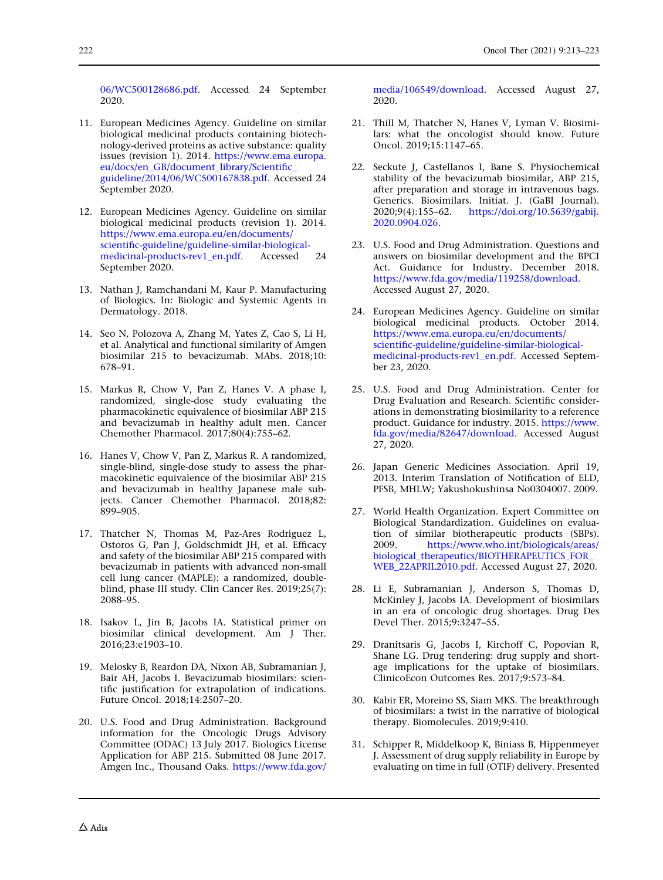<span id="page-9-0"></span>[06/WC500128686.pdf.](http://www.ema.europa.eu/docs/en_GB/document_library/Scientific_guideline/2012/06/WC500128686.pdf) Accessed 24 September 2020.

- 11. European Medicines Agency. Guideline on similar biological medicinal products containing biotechnology-derived proteins as active substance: quality issues (revision 1). 2014. [https://www.ema.europa.](http://www.ema.europa.eu/docs/en_GB/document_library/Scientific_guideline/2014/06/WC500167838.pdf) [eu/docs/en\\_GB/document\\_library/Scientific\\_](http://www.ema.europa.eu/docs/en_GB/document_library/Scientific_guideline/2014/06/WC500167838.pdf) [guideline/2014/06/WC500167838.pdf](http://www.ema.europa.eu/docs/en_GB/document_library/Scientific_guideline/2014/06/WC500167838.pdf). Accessed 24 September 2020.
- 12. European Medicines Agency. Guideline on similar biological medicinal products (revision 1). 2014. [https://www.ema.europa.eu/en/documents/](https://www.ema.europa.eu/en/documents/scientific-guideline/guideline-similar-biological-medicinal-products-rev1_en.pdf) [scientific-guideline/guideline-similar-biological](https://www.ema.europa.eu/en/documents/scientific-guideline/guideline-similar-biological-medicinal-products-rev1_en.pdf)[medicinal-products-rev1\\_en.pdf](https://www.ema.europa.eu/en/documents/scientific-guideline/guideline-similar-biological-medicinal-products-rev1_en.pdf). Accessed 24 September 2020.
- 13. Nathan J, Ramchandani M, Kaur P. Manufacturing of Biologics. In: Biologic and Systemic Agents in Dermatology. 2018.
- 14. Seo N, Polozova A, Zhang M, Yates Z, Cao S, Li H, et al. Analytical and functional similarity of Amgen biosimilar 215 to bevacizumab. MAbs. 2018;10: 678–91.
- 15. Markus R, Chow V, Pan Z, Hanes V. A phase I, randomized, single-dose study evaluating the pharmacokinetic equivalence of biosimilar ABP 215 and bevacizumab in healthy adult men. Cancer Chemother Pharmacol. 2017;80(4):755–62.
- 16. Hanes V, Chow V, Pan Z, Markus R. A randomized, single-blind, single-dose study to assess the pharmacokinetic equivalence of the biosimilar ABP 215 and bevacizumab in healthy Japanese male subjects. Cancer Chemother Pharmacol. 2018;82: 899–905.
- 17. Thatcher N, Thomas M, Paz-Ares Rodriguez L, Ostoros G, Pan J, Goldschmidt JH, et al. Efficacy and safety of the biosimilar ABP 215 compared with bevacizumab in patients with advanced non-small cell lung cancer (MAPLE): a randomized, doubleblind, phase III study. Clin Cancer Res. 2019;25(7): 2088–95.
- 18. Isakov L, Jin B, Jacobs IA. Statistical primer on biosimilar clinical development. Am J Ther. 2016;23:e1903–10.
- 19. Melosky B, Reardon DA, Nixon AB, Subramanian J, Bair AH, Jacobs I. Bevacizumab biosimilars: scientific justification for extrapolation of indications. Future Oncol. 2018;14:2507–20.
- 20. U.S. Food and Drug Administration. Background information for the Oncologic Drugs Advisory Committee (ODAC) 13 July 2017. Biologics License Application for ABP 215. Submitted 08 June 2017. Amgen Inc., Thousand Oaks. [https://www.fda.gov/](https://www.fda.gov/media/106549/download)

[media/106549/download.](https://www.fda.gov/media/106549/download) Accessed August 27, 2020.

- 21. Thill M, Thatcher N, Hanes V, Lyman V. Biosimilars: what the oncologist should know. Future Oncol. 2019;15:1147–65.
- 22. Seckute J, Castellanos I, Bane S. Physiochemical stability of the bevacizumab biosimilar, ABP 215, after preparation and storage in intravenous bags. Generics. Biosimilars. Initiat. J. (GaBI Journal).<br>2020;9(4):155–62. https://doi.org/10.5639/gabij. [https://doi.org/10.5639/gabij.](https://doi.org/10.5639/gabij.2020.0904.026) [2020.0904.026.](https://doi.org/10.5639/gabij.2020.0904.026)
- 23. U.S. Food and Drug Administration. Questions and answers on biosimilar development and the BPCI Act. Guidance for Industry. December 2018. <https://www.fda.gov/media/119258/download>. Accessed August 27, 2020.
- 24. European Medicines Agency. Guideline on similar biological medicinal products. October 2014. [https://www.ema.europa.eu/en/documents/](https://www.ema.europa.eu/en/documents/scientific-guideline/guideline-similar-biological-medicinal-products-rev1_en.pdf) [scientific-guideline/guideline-similar-biological](https://www.ema.europa.eu/en/documents/scientific-guideline/guideline-similar-biological-medicinal-products-rev1_en.pdf)[medicinal-products-rev1\\_en.pdf](https://www.ema.europa.eu/en/documents/scientific-guideline/guideline-similar-biological-medicinal-products-rev1_en.pdf). Accessed September 23, 2020.
- 25. U.S. Food and Drug Administration. Center for Drug Evaluation and Research. Scientific considerations in demonstrating biosimilarity to a reference product. Guidance for industry. 2015. [https://www.](https://www.fda.gov/media/82647/download) [fda.gov/media/82647/download](https://www.fda.gov/media/82647/download). Accessed August 27, 2020.
- 26. Japan Generic Medicines Association. April 19, 2013. Interim Translation of Notification of ELD, PFSB, MHLW; Yakushokushinsa No0304007. 2009.
- 27. World Health Organization. Expert Committee on Biological Standardization. Guidelines on evaluation of similar biotherapeutic products (SBPs). 2009. [https://www.who.int/biologicals/areas/](https://www.who.int/biologicals/areas/biological_therapeutics/BIOTHERAPEUTICS_FOR_WEB_22APRIL2010.pdf) [biological\\_therapeutics/BIOTHERAPEUTICS\\_FOR\\_](https://www.who.int/biologicals/areas/biological_therapeutics/BIOTHERAPEUTICS_FOR_WEB_22APRIL2010.pdf) [WEB\\_22APRIL2010.pdf](https://www.who.int/biologicals/areas/biological_therapeutics/BIOTHERAPEUTICS_FOR_WEB_22APRIL2010.pdf). Accessed August 27, 2020.
- 28. Li E, Subramanian J, Anderson S, Thomas D, McKinley J, Jacobs IA. Development of biosimilars in an era of oncologic drug shortages. Drug Des Devel Ther. 2015;9:3247–55.
- 29. Dranitsaris G, Jacobs I, Kirchoff C, Popovian R, Shane LG. Drug tendering: drug supply and shortage implications for the uptake of biosimilars. ClinicoEcon Outcomes Res. 2017;9:573–84.
- 30. Kabir ER, Moreino SS, Siam MKS. The breakthrough of biosimilars: a twist in the narrative of biological therapy. Biomolecules. 2019;9:410.
- 31. Schipper R, Middelkoop K, Biniass B, Hippenmeyer J. Assessment of drug supply reliability in Europe by evaluating on time in full (OTIF) delivery. Presented